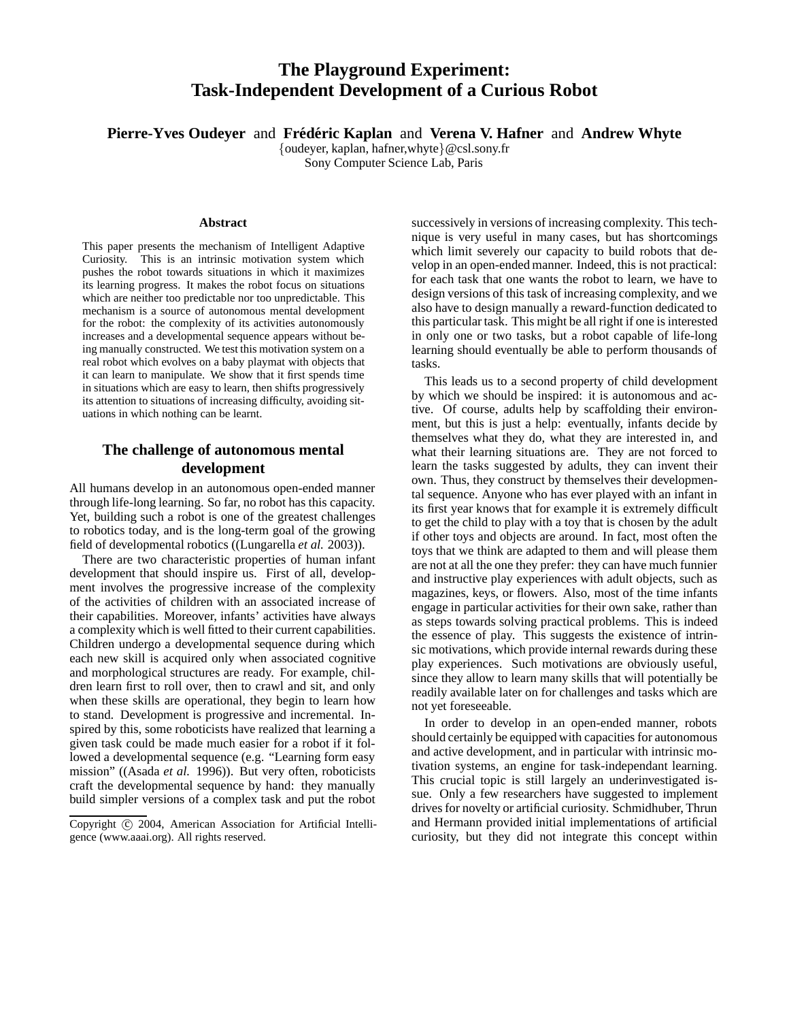# **The Playground Experiment: Task-Independent Development of a Curious Robot**

**Pierre-Yves Oudeyer** and **Frédéric Kaplan** and **Verena V. Hafner** and **Andrew Whyte** 

*{*oudeyer, kaplan, hafner,whyte*}*@csl.sony.fr

Sony Computer Science Lab, Paris

### **Abstract**

This paper presents the mechanism of Intelligent Adaptive Curiosity. This is an intrinsic motivation system which pushes the robot towards situations in which it maximizes its learning progress. It makes the robot focus on situations which are neither too predictable nor too unpredictable. This mechanism is a source of autonomous mental development for the robot: the complexity of its activities autonomously increases and a developmental sequence appears without being manually constructed. We test this motivation system on a real robot which evolves on a baby playmat with objects that it can learn to manipulate. We show that it first spends time in situations which are easy to learn, then shifts progressively its attention to situations of increasing difficulty, avoiding situations in which nothing can be learnt.

# **The challenge of autonomous mental development**

All humans develop in an autonomous open-ended manner through life-long learning. So far, no robot has this capacity. Yet, building such a robot is one of the greatest challenges to robotics today, and is the long-term goal of the growing field of developmental robotics ((Lungarella *et al.* 2003)).

There are two characteristic properties of human infant development that should inspire us. First of all, development involves the progressive increase of the complexity of the activities of children with an associated increase of their capabilities. Moreover, infants' activities have always a complexity which is well fitted to their current capabilities. Children undergo a developmental sequence during which each new skill is acquired only when associated cognitive and morphological structures are ready. For example, children learn first to roll over, then to crawl and sit, and only when these skills are operational, they begin to learn how to stand. Development is progressive and incremental. Inspired by this, some roboticists have realized that learning a given task could be made much easier for a robot if it followed a developmental sequence (e.g. "Learning form easy mission" ((Asada *et al.* 1996)). But very often, roboticists craft the developmental sequence by hand: they manually build simpler versions of a complex task and put the robot

successively in versions of increasing complexity. This technique is very useful in many cases, but has shortcomings which limit severely our capacity to build robots that develop in an open-ended manner. Indeed, this is not practical: for each task that one wants the robot to learn, we have to design versions of this task of increasing complexity, and we also have to design manually a reward-function dedicated to this particular task. This might be all right if one is interested in only one or two tasks, but a robot capable of life-long learning should eventually be able to perform thousands of tasks.

This leads us to a second property of child development by which we should be inspired: it is autonomous and active. Of course, adults help by scaffolding their environment, but this is just a help: eventually, infants decide by themselves what they do, what they are interested in, and what their learning situations are. They are not forced to learn the tasks suggested by adults, they can invent their own. Thus, they construct by themselves their developmental sequence. Anyone who has ever played with an infant in its first year knows that for example it is extremely difficult to get the child to play with a toy that is chosen by the adult if other toys and objects are around. In fact, most often the toys that we think are adapted to them and will please them are not at all the one they prefer: they can have much funnier and instructive play experiences with adult objects, such as magazines, keys, or flowers. Also, most of the time infants engage in particular activities for their own sake, rather than as steps towards solving practical problems. This is indeed the essence of play. This suggests the existence of intrinsic motivations, which provide internal rewards during these play experiences. Such motivations are obviously useful, since they allow to learn many skills that will potentially be readily available later on for challenges and tasks which are not yet foreseeable.

In order to develop in an open-ended manner, robots should certainly be equipped with capacities for autonomous and active development, and in particular with intrinsic motivation systems, an engine for task-independant learning. This crucial topic is still largely an underinvestigated issue. Only a few researchers have suggested to implement drives for novelty or artificial curiosity. Schmidhuber, Thrun and Hermann provided initial implementations of artificial curiosity, but they did not integrate this concept within

Copyright C 2004, American Association for Artificial Intelligence (www.aaai.org). All rights reserved.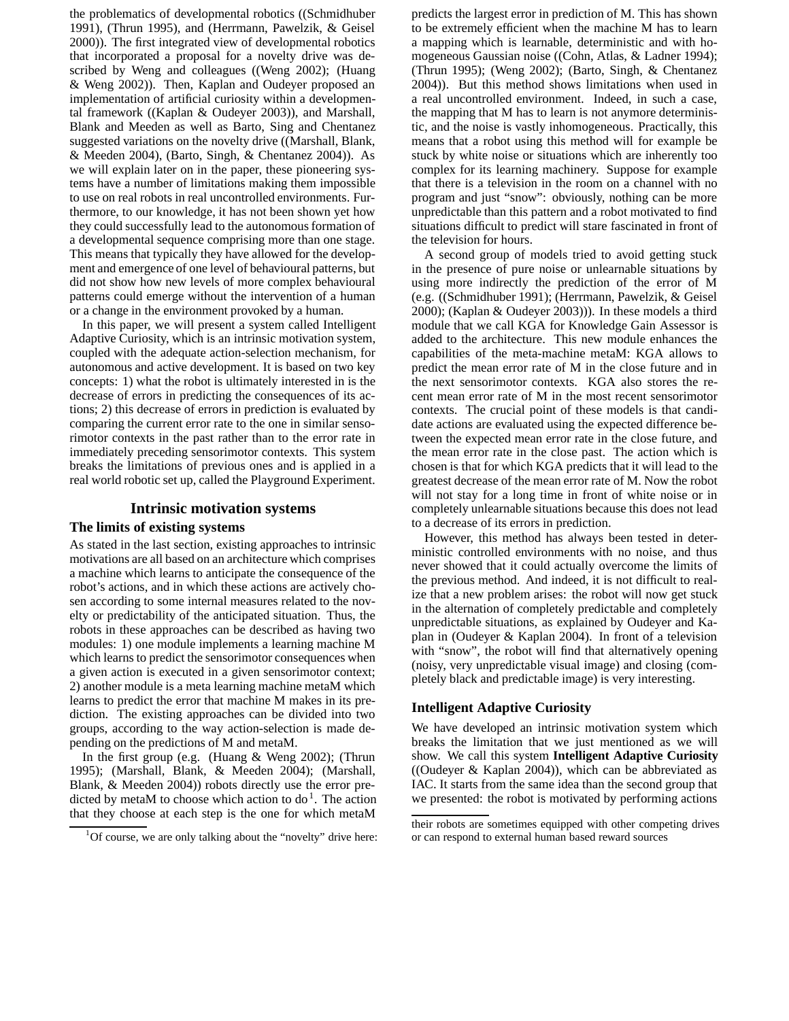the problematics of developmental robotics ((Schmidhuber 1991), (Thrun 1995), and (Herrmann, Pawelzik, & Geisel 2000)). The first integrated view of developmental robotics that incorporated a proposal for a novelty drive was described by Weng and colleagues ((Weng 2002); (Huang & Weng 2002)). Then, Kaplan and Oudeyer proposed an implementation of artificial curiosity within a developmental framework ((Kaplan & Oudeyer 2003)), and Marshall, Blank and Meeden as well as Barto, Sing and Chentanez suggested variations on the novelty drive ((Marshall, Blank, & Meeden 2004), (Barto, Singh, & Chentanez 2004)). As we will explain later on in the paper, these pioneering systems have a number of limitations making them impossible to use on real robots in real uncontrolled environments. Furthermore, to our knowledge, it has not been shown yet how they could successfully lead to the autonomous formation of a developmental sequence comprising more than one stage. This means that typically they have allowed for the development and emergence of one level of behavioural patterns, but did not show how new levels of more complex behavioural patterns could emerge without the intervention of a human or a change in the environment provoked by a human.

In this paper, we will present a system called Intelligent Adaptive Curiosity, which is an intrinsic motivation system, coupled with the adequate action-selection mechanism, for autonomous and active development. It is based on two key concepts: 1) what the robot is ultimately interested in is the decrease of errors in predicting the consequences of its actions; 2) this decrease of errors in prediction is evaluated by comparing the current error rate to the one in similar sensorimotor contexts in the past rather than to the error rate in immediately preceding sensorimotor contexts. This system breaks the limitations of previous ones and is applied in a real world robotic set up, called the Playground Experiment.

## **Intrinsic motivation systems**

### **The limits of existing systems**

As stated in the last section, existing approaches to intrinsic motivations are all based on an architecture which comprises a machine which learns to anticipate the consequence of the robot's actions, and in which these actions are actively chosen according to some internal measures related to the novelty or predictability of the anticipated situation. Thus, the robots in these approaches can be described as having two modules: 1) one module implements a learning machine M which learns to predict the sensorimotor consequences when a given action is executed in a given sensorimotor context; 2) another module is a meta learning machine metaM which learns to predict the error that machine M makes in its prediction. The existing approaches can be divided into two groups, according to the way action-selection is made depending on the predictions of M and metaM.

In the first group (e.g. (Huang & Weng 2002); (Thrun 1995); (Marshall, Blank, & Meeden 2004); (Marshall, Blank, & Meeden 2004)) robots directly use the error predicted by metaM to choose which action to  $do<sup>1</sup>$ . The action that they choose at each step is the one for which metaM

predicts the largest error in prediction of M. This has shown to be extremely efficient when the machine M has to learn a mapping which is learnable, deterministic and with homogeneous Gaussian noise ((Cohn, Atlas, & Ladner 1994); (Thrun 1995); (Weng 2002); (Barto, Singh, & Chentanez 2004)). But this method shows limitations when used in a real uncontrolled environment. Indeed, in such a case, the mapping that M has to learn is not anymore deterministic, and the noise is vastly inhomogeneous. Practically, this means that a robot using this method will for example be stuck by white noise or situations which are inherently too complex for its learning machinery. Suppose for example that there is a television in the room on a channel with no program and just "snow": obviously, nothing can be more unpredictable than this pattern and a robot motivated to find situations difficult to predict will stare fascinated in front of the television for hours.

A second group of models tried to avoid getting stuck in the presence of pure noise or unlearnable situations by using more indirectly the prediction of the error of M (e.g. ((Schmidhuber 1991); (Herrmann, Pawelzik, & Geisel 2000); (Kaplan & Oudeyer 2003))). In these models a third module that we call KGA for Knowledge Gain Assessor is added to the architecture. This new module enhances the capabilities of the meta-machine metaM: KGA allows to predict the mean error rate of M in the close future and in the next sensorimotor contexts. KGA also stores the recent mean error rate of M in the most recent sensorimotor contexts. The crucial point of these models is that candidate actions are evaluated using the expected difference between the expected mean error rate in the close future, and the mean error rate in the close past. The action which is chosen is that for which KGA predicts that it will lead to the greatest decrease of the mean error rate of M. Now the robot will not stay for a long time in front of white noise or in completely unlearnable situations because this does not lead to a decrease of its errors in prediction.

However, this method has always been tested in deterministic controlled environments with no noise, and thus never showed that it could actually overcome the limits of the previous method. And indeed, it is not difficult to realize that a new problem arises: the robot will now get stuck in the alternation of completely predictable and completely unpredictable situations, as explained by Oudeyer and Kaplan in (Oudeyer & Kaplan 2004). In front of a television with "snow", the robot will find that alternatively opening (noisy, very unpredictable visual image) and closing (completely black and predictable image) is very interesting.

# **Intelligent Adaptive Curiosity**

We have developed an intrinsic motivation system which breaks the limitation that we just mentioned as we will show. We call this system **Intelligent Adaptive Curiosity** ((Oudeyer & Kaplan 2004)), which can be abbreviated as IAC. It starts from the same idea than the second group that we presented: the robot is motivated by performing actions

<sup>&</sup>lt;sup>1</sup>Of course, we are only talking about the "novelty" drive here:

their robots are sometimes equipped with other competing drives or can respond to external human based reward sources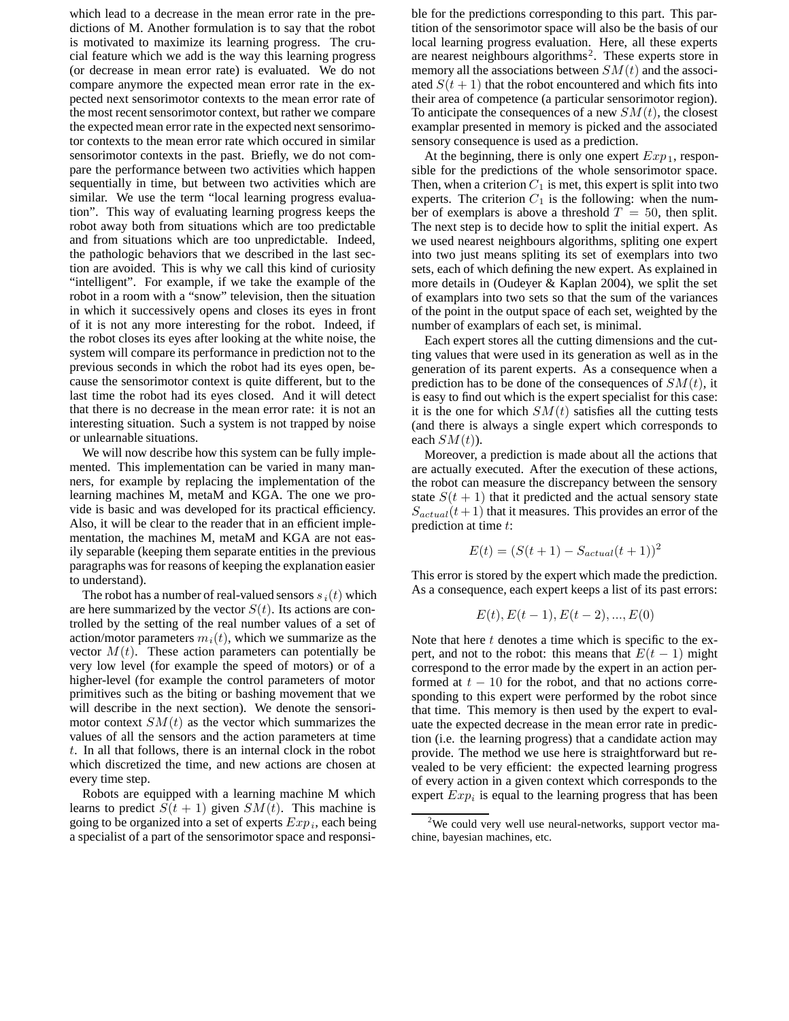which lead to a decrease in the mean error rate in the predictions of M. Another formulation is to say that the robot is motivated to maximize its learning progress. The crucial feature which we add is the way this learning progress (or decrease in mean error rate) is evaluated. We do not compare anymore the expected mean error rate in the expected next sensorimotor contexts to the mean error rate of the most recent sensorimotor context, but rather we compare the expected mean error rate in the expected next sensorimotor contexts to the mean error rate which occured in similar sensorimotor contexts in the past. Briefly, we do not compare the performance between two activities which happen sequentially in time, but between two activities which are similar. We use the term "local learning progress evaluation". This way of evaluating learning progress keeps the robot away both from situations which are too predictable and from situations which are too unpredictable. Indeed, the pathologic behaviors that we described in the last section are avoided. This is why we call this kind of curiosity "intelligent". For example, if we take the example of the robot in a room with a "snow" television, then the situation in which it successively opens and closes its eyes in front of it is not any more interesting for the robot. Indeed, if the robot closes its eyes after looking at the white noise, the system will compare its performance in prediction not to the previous seconds in which the robot had its eyes open, because the sensorimotor context is quite different, but to the last time the robot had its eyes closed. And it will detect that there is no decrease in the mean error rate: it is not an interesting situation. Such a system is not trapped by noise or unlearnable situations.

We will now describe how this system can be fully implemented. This implementation can be varied in many manners, for example by replacing the implementation of the learning machines M, metaM and KGA. The one we provide is basic and was developed for its practical efficiency. Also, it will be clear to the reader that in an efficient implementation, the machines M, metaM and KGA are not easily separable (keeping them separate entities in the previous paragraphs was for reasons of keeping the explanation easier to understand).

The robot has a number of real-valued sensors  $s_i(t)$  which are here summarized by the vector  $S(t)$ . Its actions are controlled by the setting of the real number values of a set of action/motor parameters  $m_i(t)$ , which we summarize as the vector  $M(t)$ . These action parameters can potentially be very low level (for example the speed of motors) or of a higher-level (for example the control parameters of motor primitives such as the biting or bashing movement that we will describe in the next section). We denote the sensorimotor context  $SM(t)$  as the vector which summarizes the values of all the sensors and the action parameters at time t. In all that follows, there is an internal clock in the robot which discretized the time, and new actions are chosen at every time step.

Robots are equipped with a learning machine M which learns to predict  $S(t + 1)$  given  $SM(t)$ . This machine is going to be organized into a set of experts Exp*i*, each being a specialist of a part of the sensorimotor space and responsible for the predictions corresponding to this part. This partition of the sensorimotor space will also be the basis of our local learning progress evaluation. Here, all these experts are nearest neighbours algorithms<sup>2</sup>. These experts store in memory all the associations between  $SM(t)$  and the associated  $S(t + 1)$  that the robot encountered and which fits into their area of competence (a particular sensorimotor region). To anticipate the consequences of a new  $SM(t)$ , the closest examplar presented in memory is picked and the associated sensory consequence is used as a prediction.

At the beginning, there is only one expert  $Exp_1$ , responsible for the predictions of the whole sensorimotor space. Then, when a criterion  $C_1$  is met, this expert is split into two experts. The criterion  $C_1$  is the following: when the number of exemplars is above a threshold  $T = 50$ , then split. The next step is to decide how to split the initial expert. As we used nearest neighbours algorithms, spliting one expert into two just means spliting its set of exemplars into two sets, each of which defining the new expert. As explained in more details in (Oudeyer & Kaplan 2004), we split the set of examplars into two sets so that the sum of the variances of the point in the output space of each set, weighted by the number of examplars of each set, is minimal.

Each expert stores all the cutting dimensions and the cutting values that were used in its generation as well as in the generation of its parent experts. As a consequence when a prediction has to be done of the consequences of  $SM(t)$ , it is easy to find out which is the expert specialist for this case: it is the one for which  $SM(t)$  satisfies all the cutting tests (and there is always a single expert which corresponds to each  $SM(t)$ ).

Moreover, a prediction is made about all the actions that are actually executed. After the execution of these actions, the robot can measure the discrepancy between the sensory state  $S(t + 1)$  that it predicted and the actual sensory state  $S_{actual}(t+1)$  that it measures. This provides an error of the prediction at time t:

$$
E(t) = (S(t+1) - S_{actual}(t+1))^2
$$

This error is stored by the expert which made the prediction. As a consequence, each expert keeps a list of its past errors:

$$
E(t), E(t-1), E(t-2), ..., E(0)\\
$$

Note that here  $t$  denotes a time which is specific to the expert, and not to the robot: this means that  $E(t - 1)$  might correspond to the error made by the expert in an action performed at  $t - 10$  for the robot, and that no actions corresponding to this expert were performed by the robot since that time. This memory is then used by the expert to evaluate the expected decrease in the mean error rate in prediction (i.e. the learning progress) that a candidate action may provide. The method we use here is straightforward but revealed to be very efficient: the expected learning progress of every action in a given context which corresponds to the expert  $Exp_i$  is equal to the learning progress that has been

<sup>&</sup>lt;sup>2</sup>We could very well use neural-networks, support vector machine, bayesian machines, etc.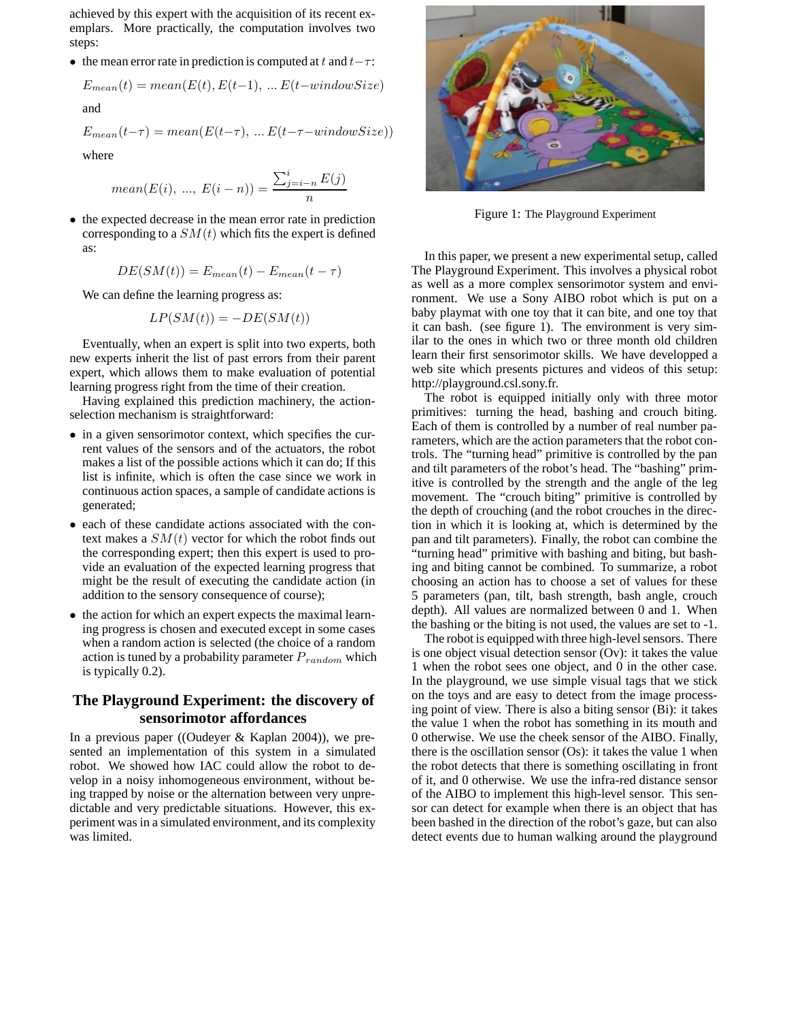achieved by this expert with the acquisition of its recent exemplars. More practically, the computation involves two steps:

**•** the mean error rate in prediction is computed at t and t−τ:

$$
E_{mean}(t) = mean(E(t), E(t-1), ... E(t-windowSize)
$$

and

$$
E_{mean}(t-\tau) = mean(E(t-\tau), \dots E(t-\tau-windowSize))
$$

where

mean
$$
(E(i), ..., E(i - n)) = \frac{\sum_{j=i-n}^{i} E(j)}{n}
$$

• the expected decrease in the mean error rate in prediction corresponding to a  $SM(t)$  which fits the expert is defined as:

$$
DE(SM(t)) = E_{mean}(t) - E_{mean}(t - \tau)
$$

We can define the learning progress as:

$$
LP(SM(t)) = -DE(SM(t))
$$

Eventually, when an expert is split into two experts, both new experts inherit the list of past errors from their parent expert, which allows them to make evaluation of potential learning progress right from the time of their creation.

Having explained this prediction machinery, the actionselection mechanism is straightforward:

- in a given sensorimotor context, which specifies the current values of the sensors and of the actuators, the robot makes a list of the possible actions which it can do; If this list is infinite, which is often the case since we work in continuous action spaces, a sample of candidate actions is generated;
- each of these candidate actions associated with the context makes a  $SM(t)$  vector for which the robot finds out the corresponding expert; then this expert is used to provide an evaluation of the expected learning progress that might be the result of executing the candidate action (in addition to the sensory consequence of course);
- *•* the action for which an expert expects the maximal learning progress is chosen and executed except in some cases when a random action is selected (the choice of a random action is tuned by a probability parameter P*random* which is typically 0.2).

# **The Playground Experiment: the discovery of sensorimotor affordances**

In a previous paper ((Oudeyer & Kaplan 2004)), we presented an implementation of this system in a simulated robot. We showed how IAC could allow the robot to develop in a noisy inhomogeneous environment, without being trapped by noise or the alternation between very unpredictable and very predictable situations. However, this experiment was in a simulated environment, and its complexity was limited.



Figure 1: The Playground Experiment

In this paper, we present a new experimental setup, called The Playground Experiment. This involves a physical robot as well as a more complex sensorimotor system and environment. We use a Sony AIBO robot which is put on a baby playmat with one toy that it can bite, and one toy that it can bash. (see figure 1). The environment is very similar to the ones in which two or three month old children learn their first sensorimotor skills. We have developped a web site which presents pictures and videos of this setup: http://playground.csl.sony.fr.

The robot is equipped initially only with three motor primitives: turning the head, bashing and crouch biting. Each of them is controlled by a number of real number parameters, which are the action parameters that the robot controls. The "turning head" primitive is controlled by the pan and tilt parameters of the robot's head. The "bashing" primitive is controlled by the strength and the angle of the leg movement. The "crouch biting" primitive is controlled by the depth of crouching (and the robot crouches in the direction in which it is looking at, which is determined by the pan and tilt parameters). Finally, the robot can combine the "turning head" primitive with bashing and biting, but bashing and biting cannot be combined. To summarize, a robot choosing an action has to choose a set of values for these 5 parameters (pan, tilt, bash strength, bash angle, crouch depth). All values are normalized between 0 and 1. When the bashing or the biting is not used, the values are set to -1.

The robot is equipped with three high-level sensors. There is one object visual detection sensor (Ov): it takes the value 1 when the robot sees one object, and 0 in the other case. In the playground, we use simple visual tags that we stick on the toys and are easy to detect from the image processing point of view. There is also a biting sensor (Bi): it takes the value 1 when the robot has something in its mouth and 0 otherwise. We use the cheek sensor of the AIBO. Finally, there is the oscillation sensor (Os): it takes the value 1 when the robot detects that there is something oscillating in front of it, and 0 otherwise. We use the infra-red distance sensor of the AIBO to implement this high-level sensor. This sensor can detect for example when there is an object that has been bashed in the direction of the robot's gaze, but can also detect events due to human walking around the playground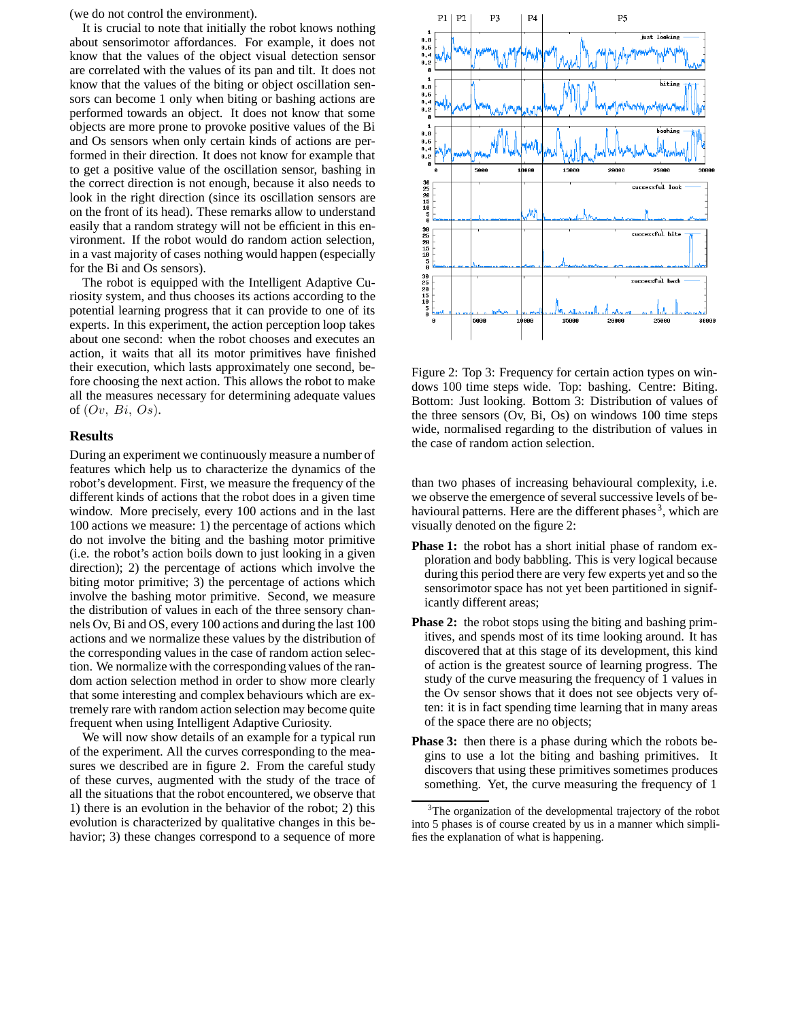(we do not control the environment).

It is crucial to note that initially the robot knows nothing about sensorimotor affordances. For example, it does not know that the values of the object visual detection sensor are correlated with the values of its pan and tilt. It does not know that the values of the biting or object oscillation sensors can become 1 only when biting or bashing actions are performed towards an object. It does not know that some objects are more prone to provoke positive values of the Bi and Os sensors when only certain kinds of actions are performed in their direction. It does not know for example that to get a positive value of the oscillation sensor, bashing in the correct direction is not enough, because it also needs to look in the right direction (since its oscillation sensors are on the front of its head). These remarks allow to understand easily that a random strategy will not be efficient in this environment. If the robot would do random action selection, in a vast majority of cases nothing would happen (especially for the Bi and Os sensors).

The robot is equipped with the Intelligent Adaptive Curiosity system, and thus chooses its actions according to the potential learning progress that it can provide to one of its experts. In this experiment, the action perception loop takes about one second: when the robot chooses and executes an action, it waits that all its motor primitives have finished their execution, which lasts approximately one second, before choosing the next action. This allows the robot to make all the measures necessary for determining adequate values of  $(Ov, Bi, Os)$ .

### **Results**

During an experiment we continuously measure a number of features which help us to characterize the dynamics of the robot's development. First, we measure the frequency of the different kinds of actions that the robot does in a given time window. More precisely, every 100 actions and in the last 100 actions we measure: 1) the percentage of actions which do not involve the biting and the bashing motor primitive (i.e. the robot's action boils down to just looking in a given direction); 2) the percentage of actions which involve the biting motor primitive; 3) the percentage of actions which involve the bashing motor primitive. Second, we measure the distribution of values in each of the three sensory channels Ov, Bi and OS, every 100 actions and during the last 100 actions and we normalize these values by the distribution of the corresponding values in the case of random action selection. We normalize with the corresponding values of the random action selection method in order to show more clearly that some interesting and complex behaviours which are extremely rare with random action selection may become quite frequent when using Intelligent Adaptive Curiosity.

We will now show details of an example for a typical run of the experiment. All the curves corresponding to the measures we described are in figure 2. From the careful study of these curves, augmented with the study of the trace of all the situations that the robot encountered, we observe that 1) there is an evolution in the behavior of the robot; 2) this evolution is characterized by qualitative changes in this behavior; 3) these changes correspond to a sequence of more



Figure 2: Top 3: Frequency for certain action types on windows 100 time steps wide. Top: bashing. Centre: Biting. Bottom: Just looking. Bottom 3: Distribution of values of the three sensors (Ov, Bi, Os) on windows 100 time steps wide, normalised regarding to the distribution of values in the case of random action selection.

than two phases of increasing behavioural complexity, i.e. we observe the emergence of several successive levels of behavioural patterns. Here are the different phases<sup>3</sup>, which are visually denoted on the figure 2:

- **Phase 1:** the robot has a short initial phase of random exploration and body babbling. This is very logical because during this period there are very few experts yet and so the sensorimotor space has not yet been partitioned in significantly different areas;
- **Phase 2:** the robot stops using the biting and bashing primitives, and spends most of its time looking around. It has discovered that at this stage of its development, this kind of action is the greatest source of learning progress. The study of the curve measuring the frequency of 1 values in the Ov sensor shows that it does not see objects very often: it is in fact spending time learning that in many areas of the space there are no objects;
- **Phase 3:** then there is a phase during which the robots begins to use a lot the biting and bashing primitives. It discovers that using these primitives sometimes produces something. Yet, the curve measuring the frequency of 1

<sup>&</sup>lt;sup>3</sup>The organization of the developmental trajectory of the robot into 5 phases is of course created by us in a manner which simplifies the explanation of what is happening.